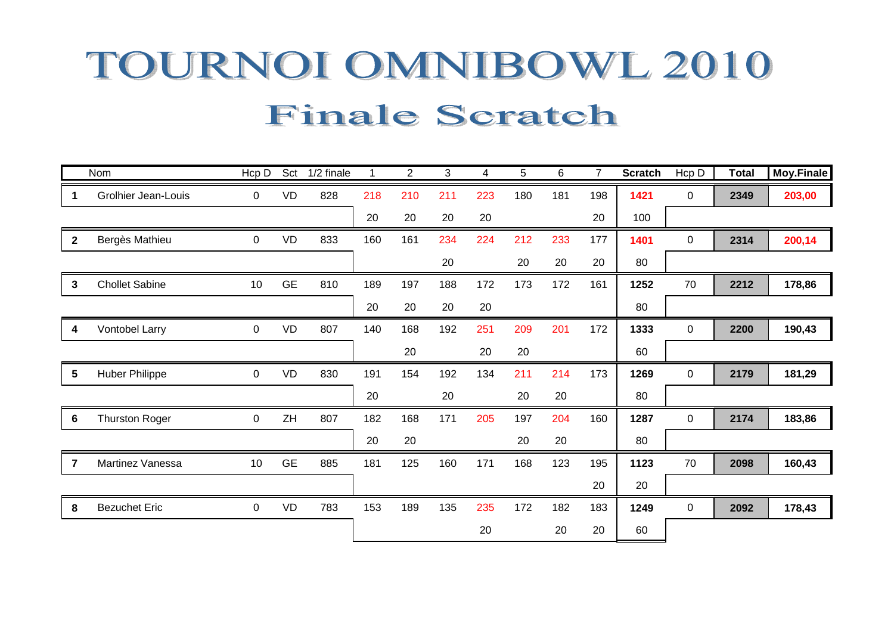## TOURNOI OMNIBOWL 2010 **Finale Scratch**

|                  | Nom                        | Hcp D          | Sct       | 1/2 finale | 1   | $\overline{2}$ | 3   | 4   | 5   | 6   | $\overline{7}$ | <b>Scratch</b> | Hcp D       | <b>Total</b> | Moy.Finale |
|------------------|----------------------------|----------------|-----------|------------|-----|----------------|-----|-----|-----|-----|----------------|----------------|-------------|--------------|------------|
| 1                | <b>Grolhier Jean-Louis</b> | 0              | <b>VD</b> | 828        | 218 | 210            | 211 | 223 | 180 | 181 | 198            | 1421           | 0           | 2349         | 203,00     |
|                  |                            |                |           |            | 20  | 20             | 20  | 20  |     |     | 20             | 100            |             |              |            |
| $\mathbf{2}$     | Bergès Mathieu             | 0              | <b>VD</b> | 833        | 160 | 161            | 234 | 224 | 212 | 233 | 177            | 1401           | $\mathsf 0$ | 2314         | 200,14     |
|                  |                            |                |           |            |     |                | 20  |     | 20  | 20  | 20             | 80             |             |              |            |
| 3                | <b>Chollet Sabine</b>      | 10             | <b>GE</b> | 810        | 189 | 197            | 188 | 172 | 173 | 172 | 161            | 1252           | 70          | 2212         | 178,86     |
|                  |                            |                |           |            | 20  | 20             | 20  | 20  |     |     |                | 80             |             |              |            |
| $\boldsymbol{4}$ | Vontobel Larry             | $\overline{0}$ | <b>VD</b> | 807        | 140 | 168            | 192 | 251 | 209 | 201 | 172            | 1333           | 0           | 2200         | 190,43     |
|                  |                            |                |           |            |     | 20             |     | 20  | 20  |     |                | 60             |             |              |            |
| $5\phantom{.0}$  | <b>Huber Philippe</b>      | $\mathbf 0$    | <b>VD</b> | 830        | 191 | 154            | 192 | 134 | 211 | 214 | 173            | 1269           | $\mathbf 0$ | 2179         | 181,29     |
|                  |                            |                |           |            | 20  |                | 20  |     | 20  | 20  |                | 80             |             |              |            |
| 6                | <b>Thurston Roger</b>      | $\mathbf 0$    | ZH        | 807        | 182 | 168            | 171 | 205 | 197 | 204 | 160            | 1287           | $\Omega$    | 2174         | 183,86     |
|                  |                            |                |           |            | 20  | 20             |     |     | 20  | 20  |                | 80             |             |              |            |
| $\overline{7}$   | Martinez Vanessa           | 10             | <b>GE</b> | 885        | 181 | 125            | 160 | 171 | 168 | 123 | 195            | 1123           | 70          | 2098         | 160,43     |
|                  |                            |                |           |            |     |                |     |     |     |     | 20             | 20             |             |              |            |
| 8                | <b>Bezuchet Eric</b>       | 0              | <b>VD</b> | 783        | 153 | 189            | 135 | 235 | 172 | 182 | 183            | 1249           | $\mathbf 0$ | 2092         | 178,43     |
|                  |                            |                |           |            |     |                |     | 20  |     | 20  | 20             | 60             |             |              |            |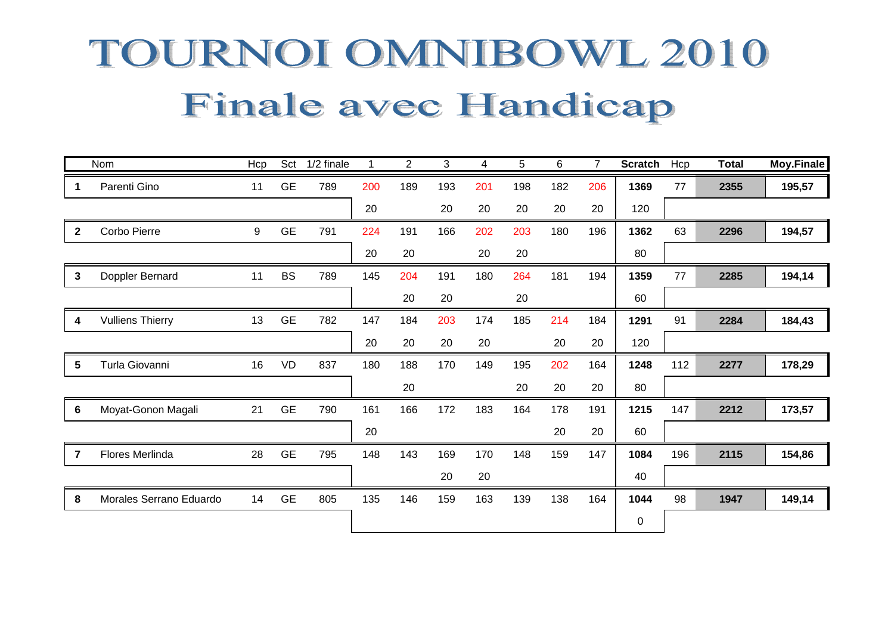# TOURNOI OMNIBOWL 2010 Finale avec Handicap

|                | Nom                     | Hcp | Sct       | 1/2 finale |     | $\overline{2}$ | 3   | 4   | 5   | 6   | $\overline{7}$ | <b>Scratch</b> | Hcp | <b>Total</b> | <b>Moy.Finale</b> |
|----------------|-------------------------|-----|-----------|------------|-----|----------------|-----|-----|-----|-----|----------------|----------------|-----|--------------|-------------------|
| -1             | Parenti Gino            | 11  | <b>GE</b> | 789        | 200 | 189            | 193 | 201 | 198 | 182 | 206            | 1369           | 77  | 2355         | 195,57            |
|                |                         |     |           |            | 20  |                | 20  | 20  | 20  | 20  | 20             | 120            |     |              |                   |
| $\mathbf{2}$   | Corbo Pierre            | 9   | <b>GE</b> | 791        | 224 | 191            | 166 | 202 | 203 | 180 | 196            | 1362           | 63  | 2296         | 194,57            |
|                |                         |     |           |            | 20  | 20             |     | 20  | 20  |     |                | 80             |     |              |                   |
| $\mathbf{3}$   | Doppler Bernard         | 11  | <b>BS</b> | 789        | 145 | 204            | 191 | 180 | 264 | 181 | 194            | 1359           | 77  | 2285         | 194,14            |
|                |                         |     |           |            |     | 20             | 20  |     | 20  |     |                | 60             |     |              |                   |
| 4              | <b>Vulliens Thierry</b> | 13  | <b>GE</b> | 782        | 147 | 184            | 203 | 174 | 185 | 214 | 184            | 1291           | 91  | 2284         | 184,43            |
|                |                         |     |           |            | 20  | 20             | 20  | 20  |     | 20  | 20             | 120            |     |              |                   |
| 5              | Turla Giovanni          | 16  | VD        | 837        | 180 | 188            | 170 | 149 | 195 | 202 | 164            | 1248           | 112 | 2277         | 178,29            |
|                |                         |     |           |            |     | 20             |     |     | 20  | 20  | 20             | 80             |     |              |                   |
| 6              | Moyat-Gonon Magali      | 21  | <b>GE</b> | 790        | 161 | 166            | 172 | 183 | 164 | 178 | 191            | 1215           | 147 | 2212         | 173,57            |
|                |                         |     |           |            | 20  |                |     |     |     | 20  | 20             | 60             |     |              |                   |
| $\overline{7}$ | Flores Merlinda         | 28  | <b>GE</b> | 795        | 148 | 143            | 169 | 170 | 148 | 159 | 147            | 1084           | 196 | 2115         | 154,86            |
|                |                         |     |           |            |     |                | 20  | 20  |     |     |                | 40             |     |              |                   |
| 8              | Morales Serrano Eduardo | 14  | <b>GE</b> | 805        | 135 | 146            | 159 | 163 | 139 | 138 | 164            | 1044           | 98  | 1947         | 149,14            |
|                |                         |     |           |            |     |                |     |     |     |     |                | 0              |     |              |                   |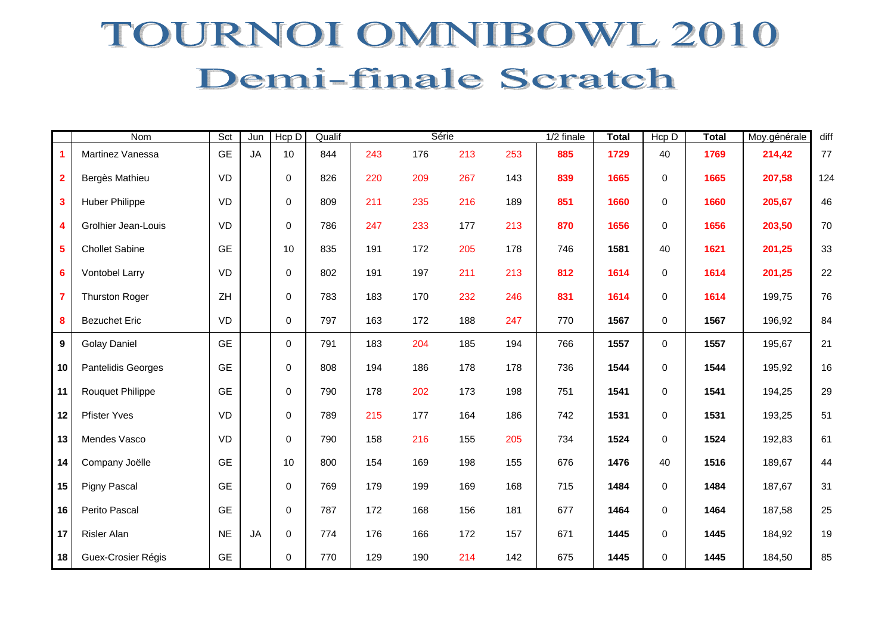### TOURNOI OMNIBOWL 2010 Demi-finale Scratch

|                         | Nom                       | Sct       | Jun       | Hcp D       | Qualif |     |     | Série |     | 1/2 finale | <b>Total</b> | Hcp D       | <b>Total</b> | Moy.générale | diff   |
|-------------------------|---------------------------|-----------|-----------|-------------|--------|-----|-----|-------|-----|------------|--------------|-------------|--------------|--------------|--------|
| $\blacktriangleleft$    | Martinez Vanessa          | <b>GE</b> | <b>JA</b> | 10          | 844    | 243 | 176 | 213   | 253 | 885        | 1729         | 40          | 1769         | 214,42       | 77     |
| $\overline{\mathbf{2}}$ | Bergès Mathieu            | VD        |           | $\pmb{0}$   | 826    | 220 | 209 | 267   | 143 | 839        | 1665         | $\pmb{0}$   | 1665         | 207,58       | 124    |
| $\overline{\mathbf{3}}$ | <b>Huber Philippe</b>     | VD        |           | $\mathbf 0$ | 809    | 211 | 235 | 216   | 189 | 851        | 1660         | $\pmb{0}$   | 1660         | 205,67       | 46     |
| $\overline{\mathbf{4}}$ | Grolhier Jean-Louis       | VD        |           | $\mathbf 0$ | 786    | 247 | 233 | 177   | 213 | 870        | 1656         | $\pmb{0}$   | 1656         | 203,50       | $70\,$ |
| $\overline{\mathbf{5}}$ | <b>Chollet Sabine</b>     | <b>GE</b> |           | 10          | 835    | 191 | 172 | 205   | 178 | 746        | 1581         | 40          | 1621         | 201,25       | 33     |
| $6\phantom{a}$          | Vontobel Larry            | VD        |           | 0           | 802    | 191 | 197 | 211   | 213 | 812        | 1614         | $\mathbf 0$ | 1614         | 201,25       | 22     |
| $\overline{7}$          | <b>Thurston Roger</b>     | ZH        |           | $\mathbf 0$ | 783    | 183 | 170 | 232   | 246 | 831        | 1614         | 0           | 1614         | 199,75       | 76     |
| 8                       | <b>Bezuchet Eric</b>      | VD        |           | 0           | 797    | 163 | 172 | 188   | 247 | 770        | 1567         | $\mathbf 0$ | 1567         | 196,92       | 84     |
| $\boldsymbol{9}$        | <b>Golay Daniel</b>       | <b>GE</b> |           | $\mathbf 0$ | 791    | 183 | 204 | 185   | 194 | 766        | 1557         | $\mathbf 0$ | 1557         | 195,67       | 21     |
| 10                      | <b>Pantelidis Georges</b> | <b>GE</b> |           | $\mathbf 0$ | 808    | 194 | 186 | 178   | 178 | 736        | 1544         | $\mathbf 0$ | 1544         | 195,92       | 16     |
| 11                      | <b>Rouquet Philippe</b>   | <b>GE</b> |           | $\mathbf 0$ | 790    | 178 | 202 | 173   | 198 | 751        | 1541         | $\pmb{0}$   | 1541         | 194,25       | 29     |
| 12                      | <b>Pfister Yves</b>       | VD        |           | $\mathbf 0$ | 789    | 215 | 177 | 164   | 186 | 742        | 1531         | $\pmb{0}$   | 1531         | 193,25       | 51     |
| 13                      | Mendes Vasco              | VD        |           | $\mathbf 0$ | 790    | 158 | 216 | 155   | 205 | 734        | 1524         | $\pmb{0}$   | 1524         | 192,83       | 61     |
| 14                      | Company Joëlle            | <b>GE</b> |           | 10          | 800    | 154 | 169 | 198   | 155 | 676        | 1476         | 40          | 1516         | 189,67       | 44     |
| 15                      | Pigny Pascal              | <b>GE</b> |           | 0           | 769    | 179 | 199 | 169   | 168 | 715        | 1484         | $\mathbf 0$ | 1484         | 187,67       | 31     |
| 16                      | Perito Pascal             | <b>GE</b> |           | $\mathbf 0$ | 787    | 172 | 168 | 156   | 181 | 677        | 1464         | $\mathbf 0$ | 1464         | 187,58       | 25     |
| 17                      | Risler Alan               | <b>NE</b> | <b>JA</b> | 0           | 774    | 176 | 166 | 172   | 157 | 671        | 1445         | $\mathbf 0$ | 1445         | 184,92       | 19     |
| 18                      | Guex-Crosier Régis        | <b>GE</b> |           | $\mathbf 0$ | 770    | 129 | 190 | 214   | 142 | 675        | 1445         | $\mathbf 0$ | 1445         | 184,50       | 85     |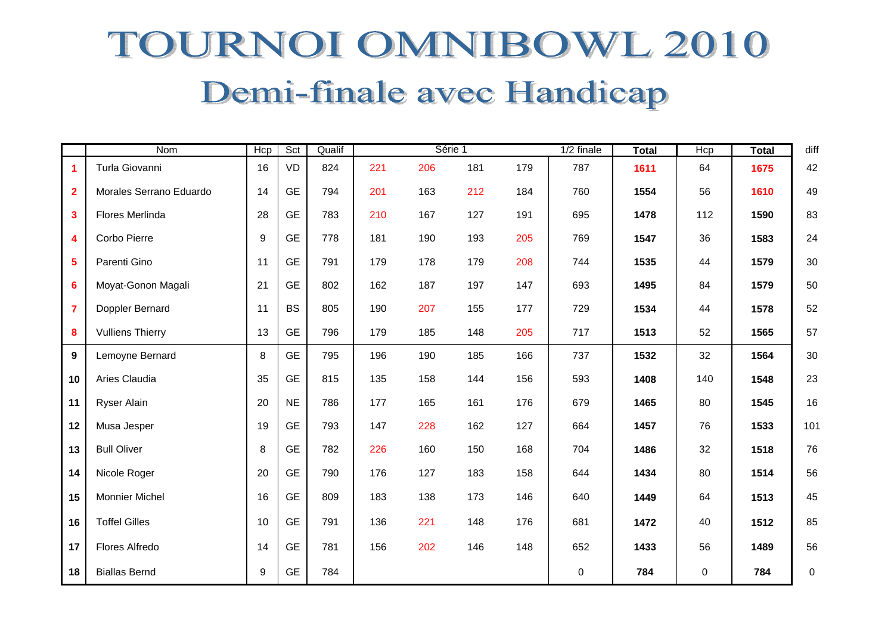## TOURNOI OMNIBOWL 2010 Demi-finale avec Handicap

|                         | <b>Nom</b>              | Hcp | Sct       | Qualif |     |     | Série 1 |     | 1/2 finale | <b>Total</b> | Hcp       | <b>Total</b> | diff      |
|-------------------------|-------------------------|-----|-----------|--------|-----|-----|---------|-----|------------|--------------|-----------|--------------|-----------|
| $\mathbf{1}$            | Turla Giovanni          | 16  | VD        | 824    | 221 | 206 | 181     | 179 | 787        | 1611         | 64        | 1675         | 42        |
| $\overline{2}$          | Morales Serrano Eduardo | 14  | <b>GE</b> | 794    | 201 | 163 | 212     | 184 | 760        | 1554         | 56        | 1610         | 49        |
| $\overline{\mathbf{3}}$ | Flores Merlinda         | 28  | <b>GE</b> | 783    | 210 | 167 | 127     | 191 | 695        | 1478         | 112       | 1590         | 83        |
| $\overline{\mathbf{4}}$ | Corbo Pierre            | 9   | <b>GE</b> | 778    | 181 | 190 | 193     | 205 | 769        | 1547         | 36        | 1583         | 24        |
| $\overline{\mathbf{5}}$ | Parenti Gino            | 11  | <b>GE</b> | 791    | 179 | 178 | 179     | 208 | 744        | 1535         | 44        | 1579         | $30\,$    |
| $6\phantom{a}$          | Moyat-Gonon Magali      | 21  | <b>GE</b> | 802    | 162 | 187 | 197     | 147 | 693        | 1495         | 84        | 1579         | 50        |
| $\overline{7}$          | Doppler Bernard         | 11  | <b>BS</b> | 805    | 190 | 207 | 155     | 177 | 729        | 1534         | 44        | 1578         | 52        |
| 8                       | <b>Vulliens Thierry</b> | 13  | <b>GE</b> | 796    | 179 | 185 | 148     | 205 | 717        | 1513         | 52        | 1565         | 57        |
| $\mathbf{9}$            | Lemoyne Bernard         | 8   | <b>GE</b> | 795    | 196 | 190 | 185     | 166 | 737        | 1532         | 32        | 1564         | $30\,$    |
| 10                      | Aries Claudia           | 35  | <b>GE</b> | 815    | 135 | 158 | 144     | 156 | 593        | 1408         | 140       | 1548         | 23        |
| 11                      | <b>Ryser Alain</b>      | 20  | <b>NE</b> | 786    | 177 | 165 | 161     | 176 | 679        | 1465         | 80        | 1545         | 16        |
| 12                      | Musa Jesper             | 19  | <b>GE</b> | 793    | 147 | 228 | 162     | 127 | 664        | 1457         | 76        | 1533         | 101       |
| 13                      | <b>Bull Oliver</b>      | 8   | <b>GE</b> | 782    | 226 | 160 | 150     | 168 | 704        | 1486         | 32        | 1518         | 76        |
| 14                      | Nicole Roger            | 20  | <b>GE</b> | 790    | 176 | 127 | 183     | 158 | 644        | 1434         | 80        | 1514         | 56        |
| 15                      | <b>Monnier Michel</b>   | 16  | <b>GE</b> | 809    | 183 | 138 | 173     | 146 | 640        | 1449         | 64        | 1513         | 45        |
| 16                      | <b>Toffel Gilles</b>    | 10  | <b>GE</b> | 791    | 136 | 221 | 148     | 176 | 681        | 1472         | 40        | 1512         | 85        |
| 17                      | Flores Alfredo          | 14  | <b>GE</b> | 781    | 156 | 202 | 146     | 148 | 652        | 1433         | 56        | 1489         | 56        |
| 18                      | <b>Biallas Bernd</b>    | 9   | <b>GE</b> | 784    |     |     |         |     | 0          | 784          | $\pmb{0}$ | 784          | $\pmb{0}$ |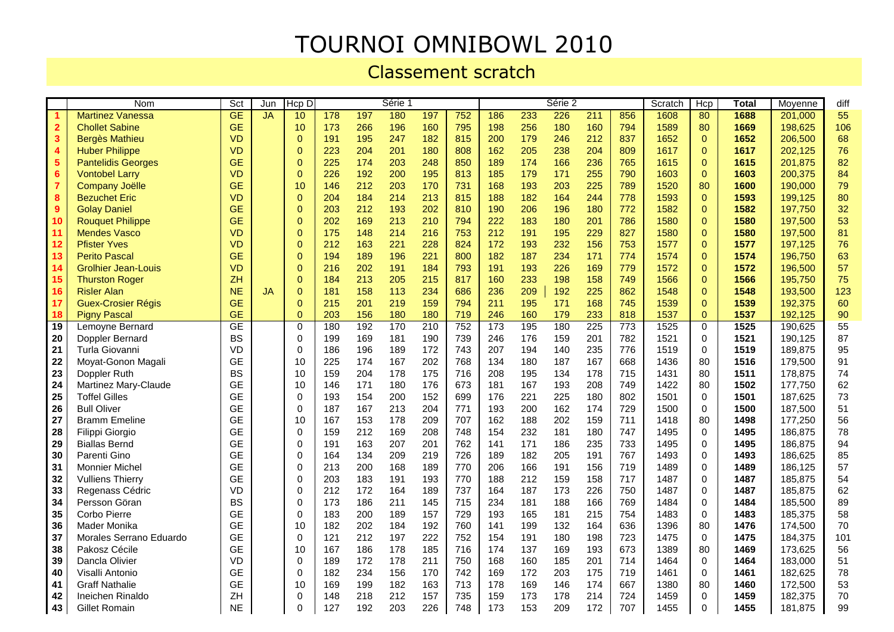#### TOURNOI OMNIBOWL 2010

Classement scratch

|                         | <b>Nom</b>                 | Sct                      | Jun       | Hcp D           |     |     | Série 1 |     |     |     |     | Série 2 |                  |                 | Scratch | Her          | Total | Moyenne | diff |
|-------------------------|----------------------------|--------------------------|-----------|-----------------|-----|-----|---------|-----|-----|-----|-----|---------|------------------|-----------------|---------|--------------|-------|---------|------|
|                         | <b>Martinez Vanessa</b>    | $\overline{\mathsf{GE}}$ | <b>JA</b> | 10              | 178 | 197 | 180     | 197 | 752 | 186 | 233 | 226     | 211              | 856             | 1608    | 80           | 1688  | 201,000 | 55   |
| $\overline{\mathbf{2}}$ | <b>Chollet Sabine</b>      | <b>GE</b>                |           | 10              | 173 | 266 | 196     | 160 | 795 | 198 | 256 | 180     | 160              | 794             | 1589    | 80           | 1669  | 198,625 | 106  |
| $\mathbf{3}$            | <b>Bergès Mathieu</b>      | <b>VD</b>                |           | $\mathbf{0}$    | 191 | 195 | 247     | 182 | 815 | 200 | 179 | 246     | 212              | 837             | 1652    | $\mathbf{0}$ | 1652  | 206,500 | 68   |
| 4                       | <b>Huber Philippe</b>      | <b>VD</b>                |           | $\overline{0}$  | 223 | 204 | 201     | 180 | 808 | 162 | 205 | 238     | 204              | 809             | 1617    | $\mathbf{0}$ | 1617  | 202,125 | 76   |
| $5\phantom{1}$          | <b>Pantelidis Georges</b>  | <b>GE</b>                |           | $\mathbf{0}$    | 225 | 174 | 203     | 248 | 850 | 189 | 174 | 166     | 236              | 765             | 1615    | $\mathbf{0}$ | 1615  | 201,875 | 82   |
| $6\phantom{1}6$         | <b>Vontobel Larry</b>      | <b>VD</b>                |           | $\mathbf 0$     | 226 | 192 | 200     | 195 | 813 | 185 | 179 | 171     | 255              | 790             | 1603    | $\Omega$     | 1603  | 200,375 | 84   |
| $\overline{7}$          | <b>Company Joëlle</b>      | <b>GE</b>                |           | 10 <sup>1</sup> | 146 | 212 | 203     | 170 | 731 | 168 | 193 | 203     | 225              | 789             | 1520    | 80           | 1600  | 190,000 | 79   |
| 8                       | <b>Bezuchet Eric</b>       | <b>VD</b>                |           | $\mathbf{0}$    | 204 | 184 | 214     | 213 | 815 | 188 | 182 | 164     | 244              | 778             | 1593    | $\Omega$     | 1593  | 199.125 | 80   |
| 9                       | <b>Golay Daniel</b>        | <b>GE</b>                |           | $\overline{0}$  | 203 | 212 | 193     | 202 | 810 | 190 | 206 | 196     | 180              | 772             | 1582    | $\mathbf{0}$ | 1582  | 197,750 | 32   |
| 10                      | <b>Rouquet Philippe</b>    | <b>GE</b>                |           | $\overline{0}$  | 202 | 169 | 213     | 210 | 794 | 222 | 183 | 180     | 201              | 786             | 1580    | $\Omega$     | 1580  | 197,500 | 53   |
| 11                      | <b>Mendes Vasco</b>        | <b>VD</b>                |           | $\mathbf 0$     | 175 | 148 | 214     | 216 | 753 | 212 | 191 | 195     | 229              | 827             | 1580    | $\mathbf{0}$ | 1580  | 197,500 | 81   |
| 12                      | <b>Pfister Yves</b>        | VD                       |           | $\mathbf{0}$    | 212 | 163 | 221     | 228 | 824 | 172 | 193 | 232     | 156              | 753             | 1577    | $\Omega$     | 1577  | 197,125 | 76   |
| 13                      | <b>Perito Pascal</b>       | <b>GE</b>                |           | $\pmb{0}$       | 194 | 189 | 196     | 221 | 800 | 182 | 187 | 234     | 171              | 774             | 1574    | $\pmb{0}$    | 1574  | 196,750 | 63   |
| 14                      | <b>Grolhier Jean-Louis</b> | <b>VD</b>                |           | $\mathbf{0}$    | 216 | 202 | 191     | 184 | 793 | 191 | 193 | 226     | 169              | 779             | 1572    | $\mathbf{0}$ | 1572  | 196,500 | 57   |
| 15                      | <b>Thurston Roger</b>      | <b>ZH</b>                |           | $\overline{0}$  | 184 | 213 | 205     | 215 | 817 | 160 | 233 | 198     | 158              | 749             | 1566    | $\Omega$     | 1566  | 195,750 | 75   |
| 16                      | <b>Risler Alan</b>         | <b>NE</b>                | <b>JA</b> | $\mathbf 0$     | 181 | 158 | 113     | 234 | 686 | 236 | 209 | 192     | 225              | 862             | 1548    | $\mathbf{0}$ | 1548  | 193,500 | 123  |
| 17                      | <b>Guex-Crosier Régis</b>  | <b>GE</b>                |           | $\Omega$        | 215 | 201 | 219     | 159 | 794 | 211 | 195 | 171     | 168              | 745             | 1539    | $\Omega$     | 1539  | 192,375 | 60   |
| 18                      | <b>Pigny Pascal</b>        | <b>GE</b>                |           | $\mathbf{0}$    | 203 | 156 | 180     | 180 | 719 | 246 | 160 | 179     | 233              | 818             | 1537    | $\mathbf{0}$ | 1537  | 192,125 | 90   |
| 19                      | Lemoyne Bernard            | GE                       |           | $\mathbf 0$     | 180 | 192 | 170     | 210 | 752 | 173 | 195 | 180     | $\overline{225}$ | $\frac{1}{773}$ | 1525    | $\mathbf 0$  | 1525  | 190,625 | 55   |
| 20                      | Doppler Bernard            | <b>BS</b>                |           | $\Omega$        | 199 | 169 | 181     | 190 | 739 | 246 | 176 | 159     | 201              | 782             | 1521    | $\Omega$     | 1521  | 190,125 | 87   |
| 21                      | Turla Giovanni             | VD                       |           | $\mathbf 0$     | 186 | 196 | 189     | 172 | 743 | 207 | 194 | 140     | 235              | 776             | 1519    | $\Omega$     | 1519  | 189.875 | 95   |
| 22                      | Moyat-Gonon Magali         | <b>GE</b>                |           | 10              | 225 | 174 | 167     | 202 | 768 | 134 | 180 | 187     | 167              | 668             | 1436    | 80           | 1516  | 179,500 | 91   |
| 23                      | Doppler Ruth               | <b>BS</b>                |           | 10              | 159 | 204 | 178     | 175 | 716 | 208 | 195 | 134     | 178              | 715             | 1431    | 80           | 1511  | 178,875 | 74   |
| 24                      | Martinez Mary-Claude       | <b>GE</b>                |           | 10              | 146 | 171 | 180     | 176 | 673 | 181 | 167 | 193     | 208              | 749             | 1422    | 80           | 1502  | 177.750 | 62   |
| 25                      | <b>Toffel Gilles</b>       | <b>GE</b>                |           | $\mathbf 0$     | 193 | 154 | 200     | 152 | 699 | 176 | 221 | 225     | 180              | 802             | 1501    | $\mathbf 0$  | 1501  | 187,625 | 73   |
| 26                      | <b>Bull Oliver</b>         | <b>GE</b>                |           | $\mathbf 0$     | 187 | 167 | 213     | 204 | 771 | 193 | 200 | 162     | 174              | 729             | 1500    | $\Omega$     | 1500  | 187,500 | 51   |
| 27                      | <b>Bramm Emeline</b>       | <b>GE</b>                |           | 10              | 167 | 153 | 178     | 209 | 707 | 162 | 188 | 202     | 159              | 711             | 1418    | 80           | 1498  | 177,250 | 56   |
| 28                      | Filippi Giorgio            | <b>GE</b>                |           | $\mathbf 0$     | 159 | 212 | 169     | 208 | 748 | 154 | 232 | 181     | 180              | 747             | 1495    | $\Omega$     | 1495  | 186,875 | 78   |
| 29                      | <b>Biallas Bernd</b>       | <b>GE</b>                |           | $\mathbf 0$     | 191 | 163 | 207     | 201 | 762 | 141 | 171 | 186     | 235              | 733             | 1495    | $\Omega$     | 1495  | 186,875 | 94   |
| 30                      | Parenti Gino               | <b>GE</b>                |           | 0               | 164 | 134 | 209     | 219 | 726 | 189 | 182 | 205     | 191              | 767             | 1493    | $\Omega$     | 1493  | 186,625 | 85   |
| 31                      | <b>Monnier Michel</b>      | <b>GE</b>                |           | 0               | 213 | 200 | 168     | 189 | 770 | 206 | 166 | 191     | 156              | 719             | 1489    | $\Omega$     | 1489  | 186,125 | 57   |
| 32                      | <b>Vulliens Thierry</b>    | <b>GE</b>                |           | $\mathbf 0$     | 203 | 183 | 191     | 193 | 770 | 188 | 212 | 159     | 158              | 717             | 1487    | 0            | 1487  | 185,875 | 54   |
| 33                      | Regenass Cédric            | VD                       |           | $\Omega$        | 212 | 172 | 164     | 189 | 737 | 164 | 187 | 173     | 226              | 750             | 1487    | $\Omega$     | 1487  | 185,875 | 62   |
| 34                      | Persson Göran              | <b>BS</b>                |           | $\Omega$        | 173 | 186 | 211     | 145 | 715 | 234 | 181 | 188     | 166              | 769             | 1484    | $\Omega$     | 1484  | 185,500 | 89   |
| 35                      | Corbo Pierre               | <b>GE</b>                |           | $\mathbf 0$     | 183 | 200 | 189     | 157 | 729 | 193 | 165 | 181     | 215              | 754             | 1483    | $\mathbf 0$  | 1483  | 185,375 | 58   |
| 36                      | Mader Monika               | <b>GE</b>                |           | 10              | 182 | 202 | 184     | 192 | 760 | 141 | 199 | 132     | 164              | 636             | 1396    | 80           | 1476  | 174,500 | 70   |
| 37                      | Morales Serrano Eduardo    | <b>GE</b>                |           | $\mathbf 0$     | 121 | 212 | 197     | 222 | 752 | 154 | 191 | 180     | 198              | 723             | 1475    | $\mathbf 0$  | 1475  | 184,375 | 101  |
| 38                      | Pakosz Cécile              | <b>GE</b>                |           | 10              | 167 | 186 | 178     | 185 | 716 | 174 | 137 | 169     | 193              | 673             | 1389    | 80           | 1469  | 173,625 | 56   |
| 39                      | Dancla Olivier             | VD                       |           | $\mathbf 0$     | 189 | 172 | 178     | 211 | 750 | 168 | 160 | 185     | 201              | 714             | 1464    | $\Omega$     | 1464  | 183,000 | 51   |
| 40                      | Visalli Antonio            | <b>GE</b>                |           | $\Omega$        | 182 | 234 | 156     | 170 | 742 | 169 | 172 | 203     | 175              | 719             | 1461    | $\Omega$     | 1461  | 182,625 | 78   |
| 41                      | <b>Graff Nathalie</b>      | <b>GE</b>                |           | 10              | 169 | 199 | 182     | 163 | 713 | 178 | 169 | 146     | 174              | 667             | 1380    | 80           | 1460  | 172,500 | 53   |
| 42                      | Ineichen Rinaldo           | ZH                       |           | 0               | 148 | 218 | 212     | 157 | 735 | 159 | 173 | 178     | 214              | 724             | 1459    | $\mathbf 0$  | 1459  | 182,375 | 70   |
| 43                      | Gillet Romain              | $N\mathsf{E}$            |           | 0               | 127 | 192 | 203     | 226 | 748 | 173 | 153 | 209     | 172              | 707             | 1455    | 0            | 1455  | 181,875 | 99   |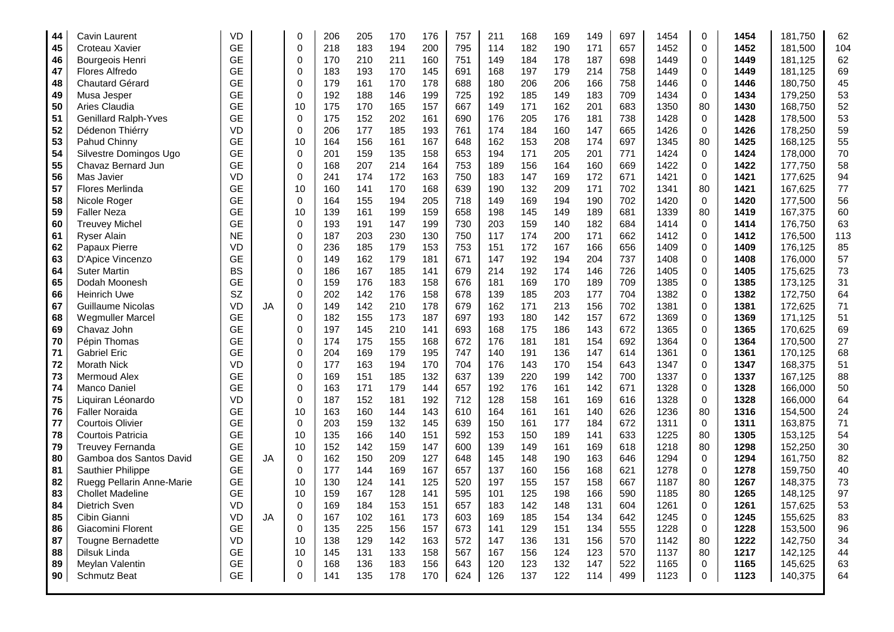| 44 | Cavin Laurent               | VD        |           | 0           | 206 | 205 | 170 | 176 | 757 | 211 | 168 | 169 | 149 | 697 | 1454 | $\mathbf 0$ | 1454 | 181,750 | 62  |
|----|-----------------------------|-----------|-----------|-------------|-----|-----|-----|-----|-----|-----|-----|-----|-----|-----|------|-------------|------|---------|-----|
| 45 | Croteau Xavier              | <b>GE</b> |           | $\mathbf 0$ | 218 | 183 | 194 | 200 | 795 | 114 | 182 | 190 | 171 | 657 | 1452 | $\mathbf 0$ | 1452 | 181,500 | 104 |
| 46 | Bourgeois Henri             | <b>GE</b> |           | $\Omega$    | 170 | 210 | 211 | 160 | 751 | 149 | 184 | 178 | 187 | 698 | 1449 | $\mathbf 0$ | 1449 | 181,125 | 62  |
| 47 | Flores Alfredo              | <b>GE</b> |           | $\Omega$    | 183 | 193 | 170 | 145 | 691 | 168 | 197 | 179 | 214 | 758 | 1449 | $\Omega$    | 1449 | 181,125 | 69  |
| 48 | <b>Chautard Gérard</b>      | <b>GE</b> |           | $\mathbf 0$ | 179 | 161 | 170 | 178 | 688 | 180 | 206 | 206 | 166 | 758 | 1446 | $\mathbf 0$ | 1446 | 180,750 | 45  |
| 49 | Musa Jesper                 | <b>GE</b> |           | $\Omega$    | 192 | 188 | 146 | 199 | 725 | 192 | 185 | 149 | 183 | 709 | 1434 | $\Omega$    | 1434 | 179,250 | 53  |
| 50 | Aries Claudia               | <b>GE</b> |           | 10          | 175 | 170 | 165 | 157 | 667 | 149 | 171 | 162 | 201 | 683 | 1350 | 80          | 1430 | 168,750 | 52  |
| 51 | <b>Genillard Ralph-Yves</b> | <b>GE</b> |           | $\mathbf 0$ | 175 | 152 | 202 | 161 | 690 | 176 | 205 | 176 | 181 | 738 | 1428 | $\mathbf 0$ | 1428 | 178,500 | 53  |
| 52 | Dédenon Thiérry             | <b>VD</b> |           | $\mathbf 0$ | 206 | 177 | 185 | 193 | 761 | 174 | 184 | 160 | 147 | 665 | 1426 | $\mathbf 0$ | 1426 | 178,250 | 59  |
| 53 | Pahud Chinny                | <b>GE</b> |           | 10          | 164 | 156 | 161 | 167 | 648 | 162 | 153 | 208 | 174 | 697 | 1345 | 80          | 1425 | 168,125 | 55  |
| 54 | Silvestre Domingos Ugo      | <b>GE</b> |           | $\mathbf 0$ | 201 | 159 | 135 | 158 | 653 | 194 | 171 | 205 | 201 | 771 | 1424 | $\mathbf 0$ | 1424 | 178,000 | 70  |
| 55 | Chavaz Bernard Jun          | <b>GE</b> |           | $\mathbf 0$ | 168 | 207 | 214 | 164 | 753 | 189 | 156 | 164 | 160 | 669 | 1422 | 0           | 1422 | 177,750 | 58  |
| 56 | Mas Javier                  | <b>VD</b> |           | $\Omega$    | 241 | 174 | 172 | 163 | 750 | 183 | 147 | 169 | 172 | 671 | 1421 | $\mathbf 0$ | 1421 | 177,625 | 94  |
| 57 | Flores Merlinda             | <b>GE</b> |           | 10          | 160 | 141 | 170 | 168 | 639 | 190 | 132 | 209 | 171 | 702 | 1341 | 80          | 1421 | 167,625 | 77  |
| 58 | Nicole Roger                | <b>GE</b> |           | $\mathbf 0$ | 164 | 155 | 194 | 205 | 718 | 149 | 169 | 194 | 190 | 702 | 1420 | $\mathbf 0$ | 1420 | 177,500 | 56  |
| 59 | <b>Faller Neza</b>          | <b>GE</b> |           | 10          | 139 | 161 | 199 | 159 | 658 | 198 | 145 | 149 | 189 | 681 | 1339 | 80          | 1419 | 167,375 | 60  |
| 60 | <b>Treuvey Michel</b>       | <b>GE</b> |           | $\mathbf 0$ | 193 | 191 | 147 | 199 | 730 | 203 | 159 | 140 | 182 | 684 | 1414 | $\mathbf 0$ | 1414 | 176,750 | 63  |
| 61 | <b>Ryser Alain</b>          | <b>NE</b> |           | $\mathbf 0$ | 187 | 203 | 230 | 130 | 750 | 117 | 174 | 200 | 171 | 662 | 1412 | $\mathbf 0$ | 1412 | 176,500 | 113 |
| 62 | Papaux Pierre               | <b>VD</b> |           | $\mathbf 0$ | 236 | 185 | 179 | 153 | 753 | 151 | 172 | 167 | 166 | 656 | 1409 | $\mathbf 0$ | 1409 | 176,125 | 85  |
| 63 | D'Apice Vincenzo            | <b>GE</b> |           | $\mathbf 0$ | 149 | 162 | 179 | 181 | 671 | 147 | 192 | 194 | 204 | 737 | 1408 | $\mathbf 0$ | 1408 | 176,000 | 57  |
| 64 | <b>Suter Martin</b>         | <b>BS</b> |           | $\Omega$    | 186 | 167 | 185 | 141 | 679 | 214 | 192 | 174 | 146 | 726 | 1405 | $\Omega$    | 1405 | 175,625 | 73  |
| 65 | Dodah Moonesh               | <b>GE</b> |           | $\Omega$    | 159 | 176 | 183 | 158 | 676 | 181 | 169 | 170 | 189 | 709 | 1385 | $\Omega$    | 1385 | 173,125 | 31  |
| 66 | <b>Heinrich Uwe</b>         | SZ        |           | $\mathbf 0$ | 202 | 142 | 176 | 158 | 678 | 139 | 185 | 203 | 177 | 704 | 1382 | $\mathbf 0$ | 1382 | 172,750 | 64  |
| 67 | Guillaume Nicolas           | <b>VD</b> | <b>JA</b> | $\mathbf 0$ | 149 | 142 | 210 | 178 | 679 | 162 | 171 | 213 | 156 | 702 | 1381 | $\mathbf 0$ | 1381 | 172,625 | 71  |
| 68 | <b>Wegmuller Marcel</b>     | <b>GE</b> |           | $\mathbf 0$ | 182 | 155 | 173 | 187 | 697 | 193 | 180 | 142 | 157 | 672 | 1369 | $\mathbf 0$ | 1369 | 171,125 | 51  |
| 69 | Chavaz John                 | <b>GE</b> |           | $\mathbf 0$ | 197 | 145 | 210 | 141 | 693 | 168 | 175 | 186 | 143 | 672 | 1365 | $\mathbf 0$ | 1365 | 170,625 | 69  |
| 70 | Pépin Thomas                | <b>GE</b> |           | $\Omega$    | 174 | 175 | 155 | 168 | 672 | 176 | 181 | 181 | 154 | 692 | 1364 | $\mathbf 0$ | 1364 | 170,500 | 27  |
| 71 | <b>Gabriel Eric</b>         | <b>GE</b> |           | $\Omega$    | 204 | 169 | 179 | 195 | 747 | 140 | 191 | 136 | 147 | 614 | 1361 | $\Omega$    | 1361 | 170,125 | 68  |
| 72 | Morath Nick                 | <b>VD</b> |           | $\mathbf 0$ | 177 | 163 | 194 | 170 | 704 | 176 | 143 | 170 | 154 | 643 | 1347 | 0           | 1347 | 168,375 | 51  |
| 73 | Mermoud Alex                | <b>GE</b> |           | $\mathbf 0$ | 169 | 151 | 185 | 132 | 637 | 139 | 220 | 199 | 142 | 700 | 1337 | $\mathbf 0$ | 1337 | 167,125 | 88  |
| 74 | Manco Daniel                | <b>GE</b> |           | $\mathbf 0$ | 163 | 171 | 179 | 144 | 657 | 192 | 176 | 161 | 142 | 671 | 1328 | 0           | 1328 | 166,000 | 50  |
| 75 | Liquiran Léonardo           | <b>VD</b> |           | $\mathbf 0$ | 187 | 152 | 181 | 192 | 712 | 128 | 158 | 161 | 169 | 616 | 1328 | $\mathbf 0$ | 1328 | 166,000 | 64  |
| 76 | <b>Faller Noraida</b>       | <b>GE</b> |           | 10          | 163 | 160 | 144 | 143 | 610 | 164 | 161 | 161 | 140 | 626 | 1236 | 80          | 1316 | 154,500 | 24  |
| 77 | <b>Courtois Olivier</b>     | <b>GE</b> |           | $\Omega$    | 203 | 159 | 132 | 145 | 639 | 150 | 161 | 177 | 184 | 672 | 1311 | $\Omega$    | 1311 | 163,875 | 71  |
| 78 | Courtois Patricia           | <b>GE</b> |           | 10          | 135 | 166 | 140 | 151 | 592 | 153 | 150 | 189 | 141 | 633 | 1225 | 80          | 1305 | 153,125 | 54  |
| 79 | <b>Treuvey Fernanda</b>     | <b>GE</b> |           | 10          | 152 | 142 | 159 | 147 | 600 | 139 | 149 | 161 | 169 | 618 | 1218 | 80          | 1298 | 152,250 | 30  |
| 80 | Gamboa dos Santos David     | <b>GE</b> | <b>JA</b> | $\mathbf 0$ | 162 | 150 | 209 | 127 | 648 | 145 | 148 | 190 | 163 | 646 | 1294 | 0           | 1294 | 161,750 | 82  |
| 81 | Sauthier Philippe           | <b>GE</b> |           | $\mathbf 0$ | 177 | 144 | 169 | 167 | 657 | 137 | 160 | 156 | 168 | 621 | 1278 | $\mathbf 0$ | 1278 | 159,750 | 40  |
| 82 | Ruegg Pellarin Anne-Marie   | <b>GE</b> |           | 10          | 130 | 124 | 141 | 125 | 520 | 197 | 155 | 157 | 158 | 667 | 1187 | 80          | 1267 | 148,375 | 73  |
| 83 | <b>Chollet Madeline</b>     | <b>GE</b> |           | 10          | 159 | 167 | 128 | 141 | 595 | 101 | 125 | 198 | 166 | 590 | 1185 | 80          | 1265 | 148,125 | 97  |
| 84 | Dietrich Sven               | <b>VD</b> |           | $\mathbf 0$ | 169 | 184 | 153 | 151 | 657 | 183 | 142 | 148 | 131 | 604 | 1261 | 0           | 1261 | 157,625 | 53  |
| 85 | Cibin Gianni                | <b>VD</b> | JA        | $\mathbf 0$ | 167 | 102 | 161 | 173 | 603 | 169 | 185 | 154 | 134 | 642 | 1245 | $\mathbf 0$ | 1245 | 155,625 | 83  |
| 86 | Giacomini Florent           | <b>GE</b> |           | $\mathbf 0$ | 135 | 225 | 156 | 157 | 673 | 141 | 129 | 151 | 134 | 555 | 1228 | 0           | 1228 | 153,500 | 96  |
| 87 | Tougne Bernadette           | <b>VD</b> |           | 10          | 138 | 129 | 142 | 163 | 572 | 147 | 136 | 131 | 156 | 570 | 1142 | 80          | 1222 | 142,750 | 34  |
| 88 | Dilsuk Linda                | <b>GE</b> |           | 10          | 145 | 131 | 133 | 158 | 567 | 167 | 156 | 124 | 123 | 570 | 1137 | 80          | 1217 | 142,125 | 44  |
| 89 | Meylan Valentin             | <b>GE</b> |           | $\mathbf 0$ | 168 | 136 | 183 | 156 | 643 | 120 | 123 | 132 | 147 | 522 | 1165 | $\mathbf 0$ | 1165 | 145,625 | 63  |
| 90 | <b>Schmutz Beat</b>         | <b>GE</b> |           | 0           | 141 | 135 | 178 | 170 | 624 | 126 | 137 | 122 | 114 | 499 | 1123 | 0           | 1123 | 140,375 | 64  |
|    |                             |           |           |             |     |     |     |     |     |     |     |     |     |     |      |             |      |         |     |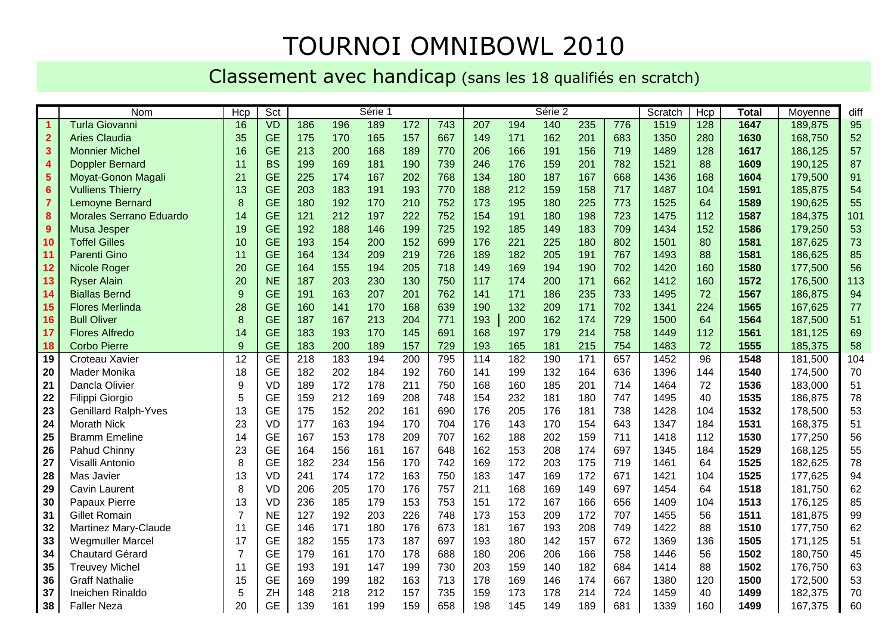#### TOURNOI OMNIBOWL 2010

#### Classement avec handicap (sans les 18 qualifiés en scratch)

|                         | Nom                         | Hcp              | Sct       |     |     | Série 1 |     |     |     |     | Série 2 |     |     | Scratch | Hcp | <b>Total</b> | Moyenne | diff |
|-------------------------|-----------------------------|------------------|-----------|-----|-----|---------|-----|-----|-----|-----|---------|-----|-----|---------|-----|--------------|---------|------|
| $\blacktriangleleft$    | <b>Turla Giovanni</b>       | 16               | VD        | 186 | 196 | 189     | 172 | 743 | 207 | 194 | 140     | 235 | 776 | 1519    | 128 | 1647         | 189,875 | 95   |
| $\overline{2}$          | <b>Aries Claudia</b>        | 35               | <b>GE</b> | 175 | 170 | 165     | 157 | 667 | 149 | 171 | 162     | 201 | 683 | 1350    | 280 | 1630         | 168,750 | 52   |
| $\mathbf{3}$            | <b>Monnier Michel</b>       | 16               | <b>GE</b> | 213 | 200 | 168     | 189 | 770 | 206 | 166 | 191     | 156 | 719 | 1489    | 128 | 1617         | 186,125 | 57   |
| $\overline{\mathbf{4}}$ | <b>Doppler Bernard</b>      | 11               | <b>BS</b> | 199 | 169 | 181     | 190 | 739 | 246 | 176 | 159     | 201 | 782 | 1521    | 88  | 1609         | 190,125 | 87   |
| $\overline{\mathbf{5}}$ | Moyat-Gonon Magali          | 21               | <b>GE</b> | 225 | 174 | 167     | 202 | 768 | 134 | 180 | 187     | 167 | 668 | 1436    | 168 | 1604         | 179,500 | 91   |
| $6\phantom{1}6$         | <b>Vulliens Thierry</b>     | 13               | <b>GE</b> | 203 | 183 | 191     | 193 | 770 | 188 | 212 | 159     | 158 | 717 | 1487    | 104 | 1591         | 185,875 | 54   |
| $\overline{7}$          | Lemoyne Bernard             | 8                | <b>GE</b> | 180 | 192 | 170     | 210 | 752 | 173 | 195 | 180     | 225 | 773 | 1525    | 64  | 1589         | 190,625 | 55   |
| $\bf{8}$                | Morales Serrano Eduardo     | 14               | <b>GE</b> | 121 | 212 | 197     | 222 | 752 | 154 | 191 | 180     | 198 | 723 | 1475    | 112 | 1587         | 184,375 | 101  |
| 9                       | Musa Jesper                 | 19               | <b>GE</b> | 192 | 188 | 146     | 199 | 725 | 192 | 185 | 149     | 183 | 709 | 1434    | 152 | 1586         | 179,250 | 53   |
| 10                      | <b>Toffel Gilles</b>        | 10               | <b>GE</b> | 193 | 154 | 200     | 152 | 699 | 176 | 221 | 225     | 180 | 802 | 1501    | 80  | 1581         | 187,625 | 73   |
| 11                      | <b>Parenti Gino</b>         | 11               | <b>GE</b> | 164 | 134 | 209     | 219 | 726 | 189 | 182 | 205     | 191 | 767 | 1493    | 88  | 1581         | 186,625 | 85   |
| 12                      | Nicole Roger                | 20               | <b>GE</b> | 164 | 155 | 194     | 205 | 718 | 149 | 169 | 194     | 190 | 702 | 1420    | 160 | 1580         | 177,500 | 56   |
| 13                      | <b>Ryser Alain</b>          | 20               | <b>NE</b> | 187 | 203 | 230     | 130 | 750 | 117 | 174 | 200     | 171 | 662 | 1412    | 160 | 1572         | 176,500 | 113  |
| 14                      | <b>Biallas Bernd</b>        | $\overline{9}$   | <b>GE</b> | 191 | 163 | 207     | 201 | 762 | 141 | 171 | 186     | 235 | 733 | 1495    | 72  | 1567         | 186,875 | 94   |
| 15                      | <b>Flores Merlinda</b>      | 28               | <b>GE</b> | 160 | 141 | 170     | 168 | 639 | 190 | 132 | 209     | 171 | 702 | 1341    | 224 | 1565         | 167,625 | 77   |
| 16                      | <b>Bull Oliver</b>          | 8                | <b>GE</b> | 187 | 167 | 213     | 204 | 771 | 193 | 200 | 162     | 174 | 729 | 1500    | 64  | 1564         | 187,500 | 51   |
| 17                      | <b>Flores Alfredo</b>       | 14               | <b>GE</b> | 183 | 193 | 170     | 145 | 691 | 168 | 197 | 179     | 214 | 758 | 1449    | 112 | 1561         | 181,125 | 69   |
| 18                      | <b>Corbo Pierre</b>         | $\overline{9}$   | <b>GE</b> | 183 | 200 | 189     | 157 | 729 | 193 | 165 | 181     | 215 | 754 | 1483    | 72  | 1555         | 185,375 | 58   |
| 19                      | Croteau Xavier              | 12               | <b>GE</b> | 218 | 183 | 194     | 200 | 795 | 114 | 182 | 190     | 171 | 657 | 1452    | 96  | 1548         | 181,500 | 104  |
| 20                      | Mader Monika                | 18               | <b>GE</b> | 182 | 202 | 184     | 192 | 760 | 141 | 199 | 132     | 164 | 636 | 1396    | 144 | 1540         | 174,500 | 70   |
| 21                      | Dancla Olivier              | $\boldsymbol{9}$ | <b>VD</b> | 189 | 172 | 178     | 211 | 750 | 168 | 160 | 185     | 201 | 714 | 1464    | 72  | 1536         | 183,000 | 51   |
| 22                      | Filippi Giorgio             | 5                | <b>GE</b> | 159 | 212 | 169     | 208 | 748 | 154 | 232 | 181     | 180 | 747 | 1495    | 40  | 1535         | 186,875 | 78   |
| 23                      | <b>Genillard Ralph-Yves</b> | 13               | <b>GE</b> | 175 | 152 | 202     | 161 | 690 | 176 | 205 | 176     | 181 | 738 | 1428    | 104 | 1532         | 178,500 | 53   |
| 24                      | <b>Morath Nick</b>          | 23               | <b>VD</b> | 177 | 163 | 194     | 170 | 704 | 176 | 143 | 170     | 154 | 643 | 1347    | 184 | 1531         | 168,375 | 51   |
| 25                      | <b>Bramm Emeline</b>        | 14               | <b>GE</b> | 167 | 153 | 178     | 209 | 707 | 162 | 188 | 202     | 159 | 711 | 1418    | 112 | 1530         | 177,250 | 56   |
| 26                      | Pahud Chinny                | 23               | <b>GE</b> | 164 | 156 | 161     | 167 | 648 | 162 | 153 | 208     | 174 | 697 | 1345    | 184 | 1529         | 168,125 | 55   |
| 27                      | Visalli Antonio             | 8                | <b>GE</b> | 182 | 234 | 156     | 170 | 742 | 169 | 172 | 203     | 175 | 719 | 1461    | 64  | 1525         | 182,625 | 78   |
| 28                      | Mas Javier                  | 13               | <b>VD</b> | 241 | 174 | 172     | 163 | 750 | 183 | 147 | 169     | 172 | 671 | 1421    | 104 | 1525         | 177,625 | 94   |
| 29                      | Cavin Laurent               | 8                | <b>VD</b> | 206 | 205 | 170     | 176 | 757 | 211 | 168 | 169     | 149 | 697 | 1454    | 64  | 1518         | 181,750 | 62   |
| 30                      | Papaux Pierre               | 13               | <b>VD</b> | 236 | 185 | 179     | 153 | 753 | 151 | 172 | 167     | 166 | 656 | 1409    | 104 | 1513         | 176,125 | 85   |
| 31                      | <b>Gillet Romain</b>        | $\overline{7}$   | <b>NE</b> | 127 | 192 | 203     | 226 | 748 | 173 | 153 | 209     | 172 | 707 | 1455    | 56  | 1511         | 181,875 | 99   |
| 32                      | Martinez Mary-Claude        | 11               | <b>GE</b> | 146 | 171 | 180     | 176 | 673 | 181 | 167 | 193     | 208 | 749 | 1422    | 88  | 1510         | 177,750 | 62   |
| 33                      | <b>Wegmuller Marcel</b>     | 17               | <b>GE</b> | 182 | 155 | 173     | 187 | 697 | 193 | 180 | 142     | 157 | 672 | 1369    | 136 | 1505         | 171,125 | 51   |
| 34                      | Chautard Gérard             | $\overline{7}$   | <b>GE</b> | 179 | 161 | 170     | 178 | 688 | 180 | 206 | 206     | 166 | 758 | 1446    | 56  | 1502         | 180,750 | 45   |
| 35                      | <b>Treuvey Michel</b>       | 11               | <b>GE</b> | 193 | 191 | 147     | 199 | 730 | 203 | 159 | 140     | 182 | 684 | 1414    | 88  | 1502         | 176,750 | 63   |
| 36                      | <b>Graff Nathalie</b>       | 15               | <b>GE</b> | 169 | 199 | 182     | 163 | 713 | 178 | 169 | 146     | 174 | 667 | 1380    | 120 | 1500         | 172,500 | 53   |
| 37                      | Ineichen Rinaldo            | 5                | ZH        | 148 | 218 | 212     | 157 | 735 | 159 | 173 | 178     | 214 | 724 | 1459    | 40  | 1499         | 182,375 | 70   |
| 38                      | <b>Faller Neza</b>          | 20               | <b>GE</b> | 139 | 161 | 199     | 159 | 658 | 198 | 145 | 149     | 189 | 681 | 1339    | 160 | 1499         | 167,375 | 60   |